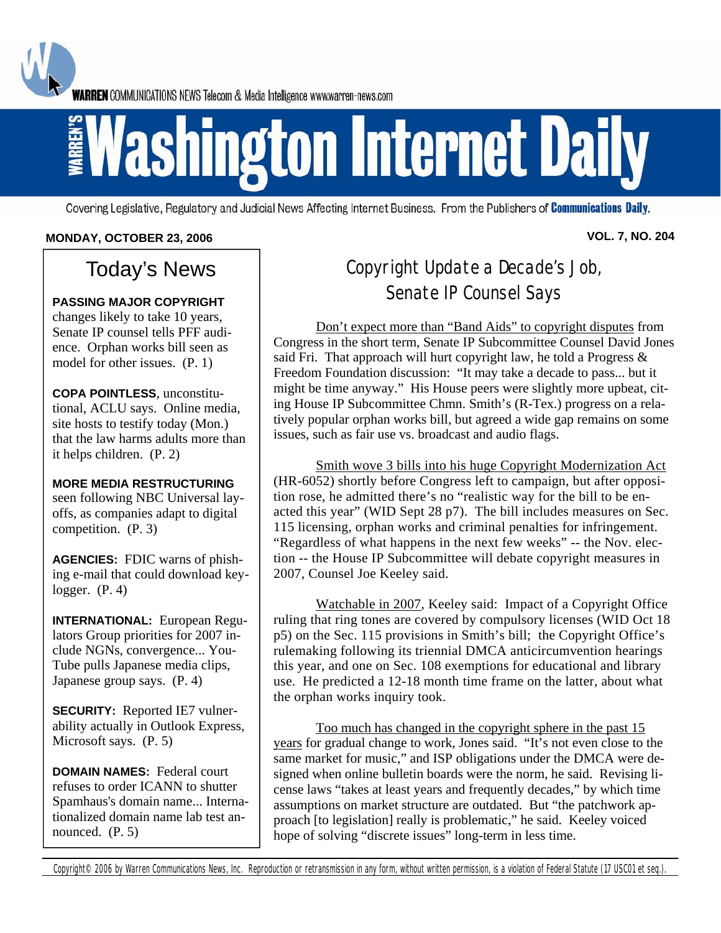**WARREN** COMMUNICATIONS NEWS Telecom & Media Intelligence www.warren-news.com

# **Ashington Internet Daily**

Covering Legislative, Regulatory and Judicial News Affecting Internet Business. From the Publishers of Communications Daily.

#### **MONDAY, OCTOBER 23, 2006 VOL. 7, NO. 204**

# Today's News

#### **PASSING MAJOR COPYRIGHT**

changes likely to take 10 years, Senate IP counsel tells PFF audience. Orphan works bill seen as model for other issues. (P. 1)

**COPA POINTLESS**, unconstitutional, ACLU says. Online media, site hosts to testify today (Mon.) that the law harms adults more than it helps children. (P. 2)

**MORE MEDIA RESTRUCTURING** seen following NBC Universal layoffs, as companies adapt to digital competition. (P. 3)

**AGENCIES:** FDIC warns of phishing e-mail that could download keylogger. (P. 4)

**INTERNATIONAL:** European Regulators Group priorities for 2007 include NGNs, convergence... You-Tube pulls Japanese media clips, Japanese group says. (P. 4)

**SECURITY:** Reported IE7 vulnerability actually in Outlook Express, Microsoft says. (P. 5)

**DOMAIN NAMES:** Federal court refuses to order ICANN to shutter Spamhaus's domain name... Internationalized domain name lab test announced. (P. 5)

# Copyright Update a Decade's Job, Senate IP Counsel Says

 Don't expect more than "Band Aids" to copyright disputes from Congress in the short term, Senate IP Subcommittee Counsel David Jones said Fri. That approach will hurt copyright law, he told a Progress  $\&$ Freedom Foundation discussion: "It may take a decade to pass... but it might be time anyway." His House peers were slightly more upbeat, citing House IP Subcommittee Chmn. Smith's (R-Tex.) progress on a relatively popular orphan works bill, but agreed a wide gap remains on some issues, such as fair use vs. broadcast and audio flags.

 Smith wove 3 bills into his huge Copyright Modernization Act (HR-6052) shortly before Congress left to campaign, but after opposition rose, he admitted there's no "realistic way for the bill to be enacted this year" (WID Sept 28 p7). The bill includes measures on Sec. 115 licensing, orphan works and criminal penalties for infringement. "Regardless of what happens in the next few weeks" -- the Nov. election -- the House IP Subcommittee will debate copyright measures in 2007, Counsel Joe Keeley said.

 Watchable in 2007, Keeley said: Impact of a Copyright Office ruling that ring tones are covered by compulsory licenses (WID Oct 18 p5) on the Sec. 115 provisions in Smith's bill; the Copyright Office's rulemaking following its triennial DMCA anticircumvention hearings this year, and one on Sec. 108 exemptions for educational and library use. He predicted a 12-18 month time frame on the latter, about what the orphan works inquiry took.

 Too much has changed in the copyright sphere in the past 15 years for gradual change to work, Jones said. "It's not even close to the same market for music," and ISP obligations under the DMCA were designed when online bulletin boards were the norm, he said. Revising license laws "takes at least years and frequently decades," by which time assumptions on market structure are outdated. But "the patchwork approach [to legislation] really is problematic," he said. Keeley voiced hope of solving "discrete issues" long-term in less time.

Copyright<sup>©</sup> 2006 by Warren Communications News, Inc. Reproduction or retransmission in any form, without written permission, is a violation of Federal Statute (17 USC01 et seq.).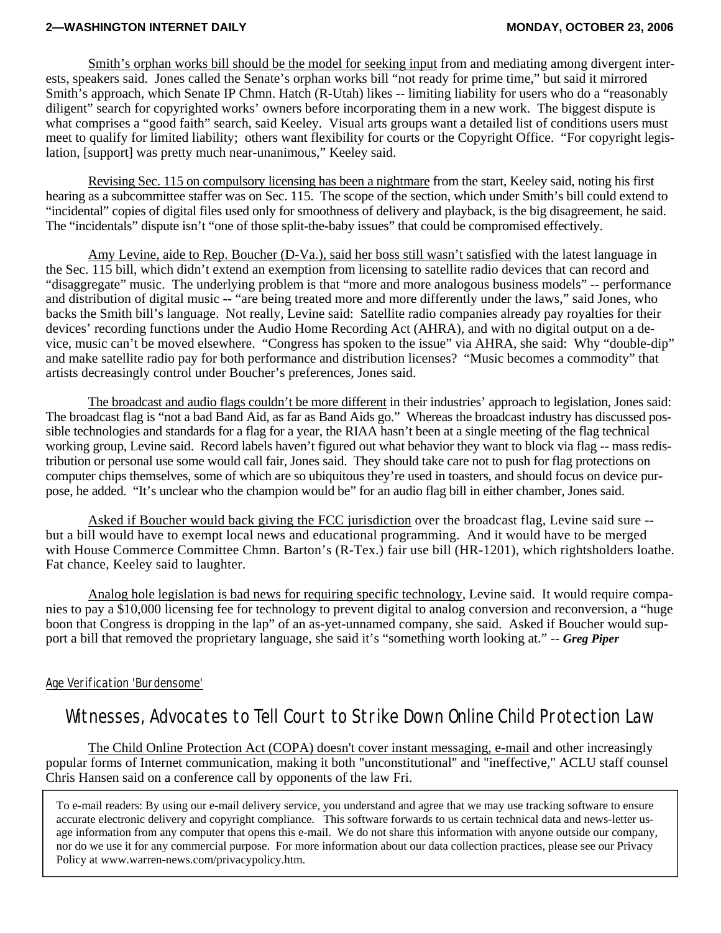#### **2—WASHINGTON INTERNET DAILY MONDAY, OCTOBER 23, 2006**

 Smith's orphan works bill should be the model for seeking input from and mediating among divergent interests, speakers said. Jones called the Senate's orphan works bill "not ready for prime time," but said it mirrored Smith's approach, which Senate IP Chmn. Hatch (R-Utah) likes -- limiting liability for users who do a "reasonably diligent" search for copyrighted works' owners before incorporating them in a new work. The biggest dispute is what comprises a "good faith" search, said Keeley. Visual arts groups want a detailed list of conditions users must meet to qualify for limited liability; others want flexibility for courts or the Copyright Office. "For copyright legislation, [support] was pretty much near-unanimous," Keeley said.

 Revising Sec. 115 on compulsory licensing has been a nightmare from the start, Keeley said, noting his first hearing as a subcommittee staffer was on Sec. 115. The scope of the section, which under Smith's bill could extend to "incidental" copies of digital files used only for smoothness of delivery and playback, is the big disagreement, he said. The "incidentals" dispute isn't "one of those split-the-baby issues" that could be compromised effectively.

 Amy Levine, aide to Rep. Boucher (D-Va.), said her boss still wasn't satisfied with the latest language in the Sec. 115 bill, which didn't extend an exemption from licensing to satellite radio devices that can record and "disaggregate" music. The underlying problem is that "more and more analogous business models" -- performance and distribution of digital music -- "are being treated more and more differently under the laws," said Jones, who backs the Smith bill's language. Not really, Levine said: Satellite radio companies already pay royalties for their devices' recording functions under the Audio Home Recording Act (AHRA), and with no digital output on a device, music can't be moved elsewhere. "Congress has spoken to the issue" via AHRA, she said: Why "double-dip" and make satellite radio pay for both performance and distribution licenses? "Music becomes a commodity" that artists decreasingly control under Boucher's preferences, Jones said.

 The broadcast and audio flags couldn't be more different in their industries' approach to legislation, Jones said: The broadcast flag is "not a bad Band Aid, as far as Band Aids go." Whereas the broadcast industry has discussed possible technologies and standards for a flag for a year, the RIAA hasn't been at a single meeting of the flag technical working group, Levine said. Record labels haven't figured out what behavior they want to block via flag -- mass redistribution or personal use some would call fair, Jones said. They should take care not to push for flag protections on computer chips themselves, some of which are so ubiquitous they're used in toasters, and should focus on device purpose, he added. "It's unclear who the champion would be" for an audio flag bill in either chamber, Jones said.

 Asked if Boucher would back giving the FCC jurisdiction over the broadcast flag, Levine said sure - but a bill would have to exempt local news and educational programming. And it would have to be merged with House Commerce Committee Chmn. Barton's (R-Tex.) fair use bill (HR-1201), which rightsholders loathe. Fat chance, Keeley said to laughter.

 Analog hole legislation is bad news for requiring specific technology, Levine said. It would require companies to pay a \$10,000 licensing fee for technology to prevent digital to analog conversion and reconversion, a "huge boon that Congress is dropping in the lap" of an as-yet-unnamed company, she said. Asked if Boucher would support a bill that removed the proprietary language, she said it's "something worth looking at." -- *Greg Piper*

#### Age Verification 'Burdensome'

# Witnesses, Advocates to Tell Court to Strike Down Online Child Protection Law

 The Child Online Protection Act (COPA) doesn't cover instant messaging, e-mail and other increasingly popular forms of Internet communication, making it both "unconstitutional" and "ineffective," ACLU staff counsel Chris Hansen said on a conference call by opponents of the law Fri.

To e-mail readers: By using our e-mail delivery service, you understand and agree that we may use tracking software to ensure accurate electronic delivery and copyright compliance. This software forwards to us certain technical data and news-letter usage information from any computer that opens this e-mail. We do not share this information with anyone outside our company, nor do we use it for any commercial purpose. For more information about our data collection practices, please see our Privacy Policy at www.warren-news.com/privacypolicy.htm.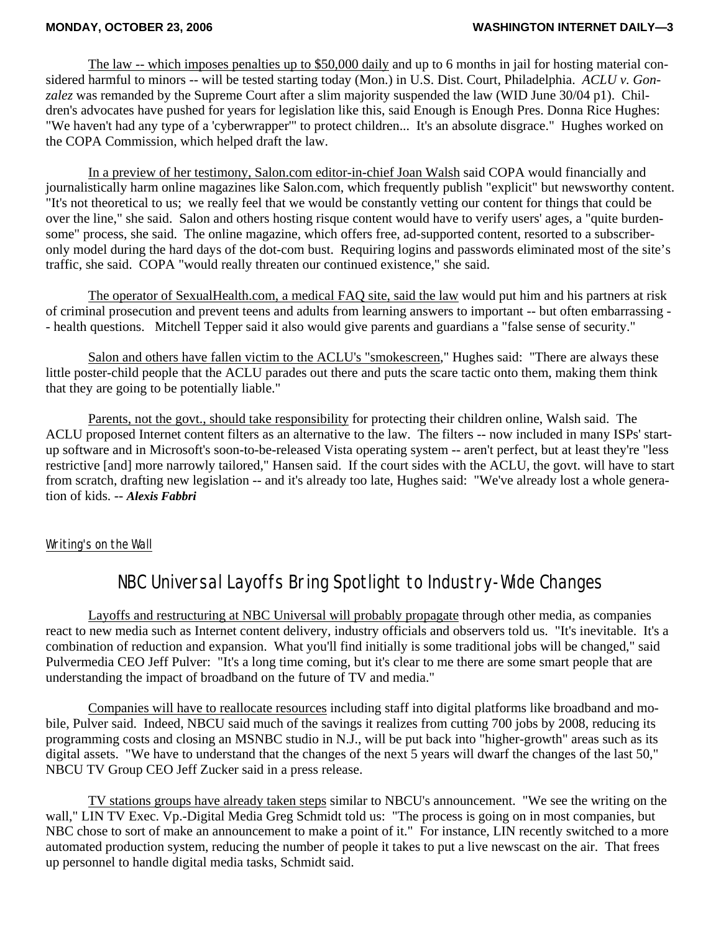The law -- which imposes penalties up to \$50,000 daily and up to 6 months in jail for hosting material considered harmful to minors -- will be tested starting today (Mon.) in U.S. Dist. Court, Philadelphia. *ACLU v. Gonzalez* was remanded by the Supreme Court after a slim majority suspended the law (WID June 30/04 p1). Children's advocates have pushed for years for legislation like this, said Enough is Enough Pres. Donna Rice Hughes: "We haven't had any type of a 'cyberwrapper'" to protect children... It's an absolute disgrace." Hughes worked on the COPA Commission, which helped draft the law.

 In a preview of her testimony, Salon.com editor-in-chief Joan Walsh said COPA would financially and journalistically harm online magazines like Salon.com, which frequently publish "explicit" but newsworthy content. "It's not theoretical to us; we really feel that we would be constantly vetting our content for things that could be over the line," she said. Salon and others hosting risque content would have to verify users' ages, a "quite burdensome" process, she said. The online magazine, which offers free, ad-supported content, resorted to a subscriberonly model during the hard days of the dot-com bust. Requiring logins and passwords eliminated most of the site's traffic, she said. COPA "would really threaten our continued existence," she said.

 The operator of SexualHealth.com, a medical FAQ site, said the law would put him and his partners at risk of criminal prosecution and prevent teens and adults from learning answers to important -- but often embarrassing - - health questions. Mitchell Tepper said it also would give parents and guardians a "false sense of security."

 Salon and others have fallen victim to the ACLU's "smokescreen," Hughes said: "There are always these little poster-child people that the ACLU parades out there and puts the scare tactic onto them, making them think that they are going to be potentially liable."

 Parents, not the govt., should take responsibility for protecting their children online, Walsh said. The ACLU proposed Internet content filters as an alternative to the law. The filters -- now included in many ISPs' startup software and in Microsoft's soon-to-be-released Vista operating system -- aren't perfect, but at least they're "less restrictive [and] more narrowly tailored," Hansen said. If the court sides with the ACLU, the govt. will have to start from scratch, drafting new legislation -- and it's already too late, Hughes said: "We've already lost a whole generation of kids. -- *Alexis Fabbri*

#### Writing's on the Wall

# NBC Universal Layoffs Bring Spotlight to Industry-Wide Changes

 Layoffs and restructuring at NBC Universal will probably propagate through other media, as companies react to new media such as Internet content delivery, industry officials and observers told us. "It's inevitable. It's a combination of reduction and expansion. What you'll find initially is some traditional jobs will be changed," said Pulvermedia CEO Jeff Pulver: "It's a long time coming, but it's clear to me there are some smart people that are understanding the impact of broadband on the future of TV and media."

 Companies will have to reallocate resources including staff into digital platforms like broadband and mobile, Pulver said. Indeed, NBCU said much of the savings it realizes from cutting 700 jobs by 2008, reducing its programming costs and closing an MSNBC studio in N.J., will be put back into "higher-growth" areas such as its digital assets. "We have to understand that the changes of the next 5 years will dwarf the changes of the last 50," NBCU TV Group CEO Jeff Zucker said in a press release.

 TV stations groups have already taken steps similar to NBCU's announcement. "We see the writing on the wall," LIN TV Exec. Vp.-Digital Media Greg Schmidt told us: "The process is going on in most companies, but NBC chose to sort of make an announcement to make a point of it." For instance, LIN recently switched to a more automated production system, reducing the number of people it takes to put a live newscast on the air. That frees up personnel to handle digital media tasks, Schmidt said.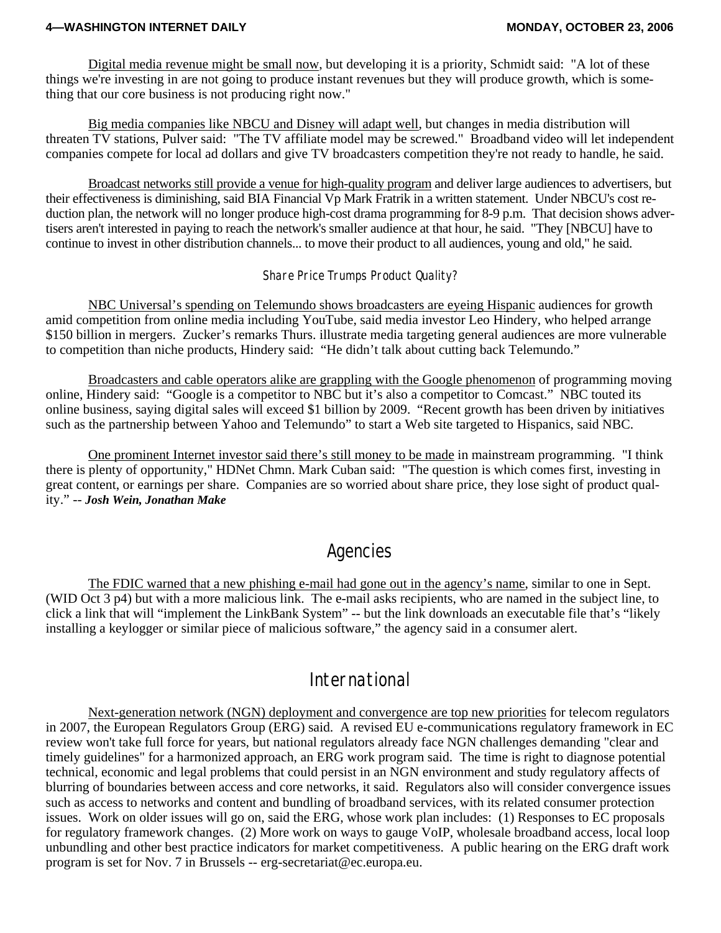#### **4—WASHINGTON INTERNET DAILY MONDAY, OCTOBER 23, 2006**

 Digital media revenue might be small now, but developing it is a priority, Schmidt said: "A lot of these things we're investing in are not going to produce instant revenues but they will produce growth, which is something that our core business is not producing right now."

 Big media companies like NBCU and Disney will adapt well, but changes in media distribution will threaten TV stations, Pulver said: "The TV affiliate model may be screwed." Broadband video will let independent companies compete for local ad dollars and give TV broadcasters competition they're not ready to handle, he said.

 Broadcast networks still provide a venue for high-quality program and deliver large audiences to advertisers, but their effectiveness is diminishing, said BIA Financial Vp Mark Fratrik in a written statement. Under NBCU's cost reduction plan, the network will no longer produce high-cost drama programming for 8-9 p.m. That decision shows advertisers aren't interested in paying to reach the network's smaller audience at that hour, he said. "They [NBCU] have to continue to invest in other distribution channels... to move their product to all audiences, young and old," he said.

#### Share Price Trumps Product Quality?

 NBC Universal's spending on Telemundo shows broadcasters are eyeing Hispanic audiences for growth amid competition from online media including YouTube, said media investor Leo Hindery, who helped arrange \$150 billion in mergers. Zucker's remarks Thurs. illustrate media targeting general audiences are more vulnerable to competition than niche products, Hindery said: "He didn't talk about cutting back Telemundo."

Broadcasters and cable operators alike are grappling with the Google phenomenon of programming moving online, Hindery said: "Google is a competitor to NBC but it's also a competitor to Comcast." NBC touted its online business, saying digital sales will exceed \$1 billion by 2009. "Recent growth has been driven by initiatives such as the partnership between Yahoo and Telemundo" to start a Web site targeted to Hispanics, said NBC.

 One prominent Internet investor said there's still money to be made in mainstream programming. "I think there is plenty of opportunity," HDNet Chmn. Mark Cuban said: "The question is which comes first, investing in great content, or earnings per share. Companies are so worried about share price, they lose sight of product quality." -- *Josh Wein, Jonathan Make*

## Agencies

 The FDIC warned that a new phishing e-mail had gone out in the agency's name, similar to one in Sept. (WID Oct 3 p4) but with a more malicious link. The e-mail asks recipients, who are named in the subject line, to click a link that will "implement the LinkBank System" -- but the link downloads an executable file that's "likely installing a keylogger or similar piece of malicious software," the agency said in a consumer alert.

## International

 Next-generation network (NGN) deployment and convergence are top new priorities for telecom regulators in 2007, the European Regulators Group (ERG) said. A revised EU e-communications regulatory framework in EC review won't take full force for years, but national regulators already face NGN challenges demanding "clear and timely guidelines" for a harmonized approach, an ERG work program said. The time is right to diagnose potential technical, economic and legal problems that could persist in an NGN environment and study regulatory affects of blurring of boundaries between access and core networks, it said. Regulators also will consider convergence issues such as access to networks and content and bundling of broadband services, with its related consumer protection issues. Work on older issues will go on, said the ERG, whose work plan includes: (1) Responses to EC proposals for regulatory framework changes. (2) More work on ways to gauge VoIP, wholesale broadband access, local loop unbundling and other best practice indicators for market competitiveness. A public hearing on the ERG draft work program is set for Nov. 7 in Brussels -- erg-secretariat@ec.europa.eu.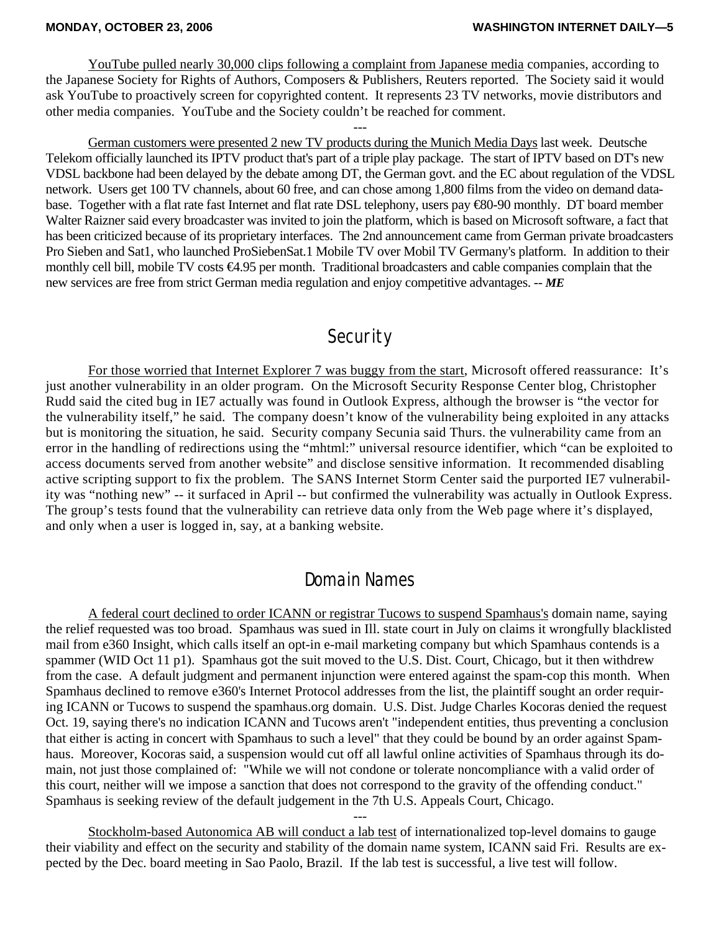YouTube pulled nearly 30,000 clips following a complaint from Japanese media companies, according to the Japanese Society for Rights of Authors, Composers & Publishers, Reuters reported. The Society said it would ask YouTube to proactively screen for copyrighted content. It represents 23 TV networks, movie distributors and other media companies. YouTube and the Society couldn't be reached for comment.

---

 German customers were presented 2 new TV products during the Munich Media Days last week. Deutsche Telekom officially launched its IPTV product that's part of a triple play package. The start of IPTV based on DT's new VDSL backbone had been delayed by the debate among DT, the German govt. and the EC about regulation of the VDSL network. Users get 100 TV channels, about 60 free, and can chose among 1,800 films from the video on demand database. Together with a flat rate fast Internet and flat rate DSL telephony, users pay €80-90 monthly. DT board member Walter Raizner said every broadcaster was invited to join the platform, which is based on Microsoft software, a fact that has been criticized because of its proprietary interfaces. The 2nd announcement came from German private broadcasters Pro Sieben and Sat1, who launched ProSiebenSat.1 Mobile TV over Mobil TV Germany's platform. In addition to their monthly cell bill, mobile TV costs €4.95 per month. Traditional broadcasters and cable companies complain that the new services are free from strict German media regulation and enjoy competitive advantages. -- *ME*

### **Security**

 For those worried that Internet Explorer 7 was buggy from the start, Microsoft offered reassurance: It's just another vulnerability in an older program. On the Microsoft Security Response Center blog, Christopher Rudd said the cited bug in IE7 actually was found in Outlook Express, although the browser is "the vector for the vulnerability itself," he said. The company doesn't know of the vulnerability being exploited in any attacks but is monitoring the situation, he said. Security company Secunia said Thurs. the vulnerability came from an error in the handling of redirections using the "mhtml:" universal resource identifier, which "can be exploited to access documents served from another website" and disclose sensitive information. It recommended disabling active scripting support to fix the problem. The SANS Internet Storm Center said the purported IE7 vulnerability was "nothing new" -- it surfaced in April -- but confirmed the vulnerability was actually in Outlook Express. The group's tests found that the vulnerability can retrieve data only from the Web page where it's displayed, and only when a user is logged in, say, at a banking website.

#### Domain Names

 A federal court declined to order ICANN or registrar Tucows to suspend Spamhaus's domain name, saying the relief requested was too broad. Spamhaus was sued in Ill. state court in July on claims it wrongfully blacklisted mail from e360 Insight, which calls itself an opt-in e-mail marketing company but which Spamhaus contends is a spammer (WID Oct 11 p1). Spamhaus got the suit moved to the U.S. Dist. Court, Chicago, but it then withdrew from the case. A default judgment and permanent injunction were entered against the spam-cop this month. When Spamhaus declined to remove e360's Internet Protocol addresses from the list, the plaintiff sought an order requiring ICANN or Tucows to suspend the spamhaus.org domain. U.S. Dist. Judge Charles Kocoras denied the request Oct. 19, saying there's no indication ICANN and Tucows aren't "independent entities, thus preventing a conclusion that either is acting in concert with Spamhaus to such a level" that they could be bound by an order against Spamhaus. Moreover, Kocoras said, a suspension would cut off all lawful online activities of Spamhaus through its domain, not just those complained of: "While we will not condone or tolerate noncompliance with a valid order of this court, neither will we impose a sanction that does not correspond to the gravity of the offending conduct." Spamhaus is seeking review of the default judgement in the 7th U.S. Appeals Court, Chicago.

---

 Stockholm-based Autonomica AB will conduct a lab test of internationalized top-level domains to gauge their viability and effect on the security and stability of the domain name system, ICANN said Fri. Results are expected by the Dec. board meeting in Sao Paolo, Brazil. If the lab test is successful, a live test will follow.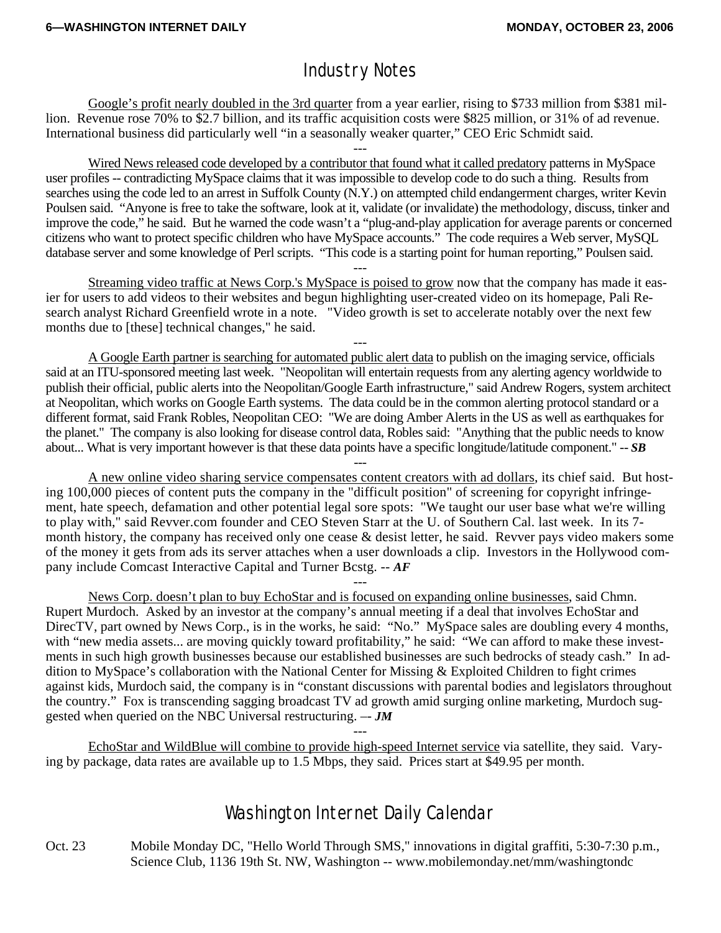# Industry Notes

 Google's profit nearly doubled in the 3rd quarter from a year earlier, rising to \$733 million from \$381 million. Revenue rose 70% to \$2.7 billion, and its traffic acquisition costs were \$825 million, or 31% of ad revenue. International business did particularly well "in a seasonally weaker quarter," CEO Eric Schmidt said.

--- Wired News released code developed by a contributor that found what it called predatory patterns in MySpace user profiles -- contradicting MySpace claims that it was impossible to develop code to do such a thing. Results from searches using the code led to an arrest in Suffolk County (N.Y.) on attempted child endangerment charges, writer Kevin Poulsen said. "Anyone is free to take the software, look at it, validate (or invalidate) the methodology, discuss, tinker and improve the code," he said. But he warned the code wasn't a "plug-and-play application for average parents or concerned citizens who want to protect specific children who have MySpace accounts." The code requires a Web server, MySQL database server and some knowledge of Perl scripts. "This code is a starting point for human reporting," Poulsen said.

--- Streaming video traffic at News Corp.'s MySpace is poised to grow now that the company has made it easier for users to add videos to their websites and begun highlighting user-created video on its homepage, Pali Research analyst Richard Greenfield wrote in a note. "Video growth is set to accelerate notably over the next few months due to [these] technical changes," he said.

---

 A Google Earth partner is searching for automated public alert data to publish on the imaging service, officials said at an ITU-sponsored meeting last week. "Neopolitan will entertain requests from any alerting agency worldwide to publish their official, public alerts into the Neopolitan/Google Earth infrastructure," said Andrew Rogers, system architect at Neopolitan, which works on Google Earth systems. The data could be in the common alerting protocol standard or a different format, said Frank Robles, Neopolitan CEO: "We are doing Amber Alerts in the US as well as earthquakes for the planet." The company is also looking for disease control data, Robles said: "Anything that the public needs to know about... What is very important however is that these data points have a specific longitude/latitude component." -- *SB*

--- A new online video sharing service compensates content creators with ad dollars, its chief said. But hosting 100,000 pieces of content puts the company in the "difficult position" of screening for copyright infringement, hate speech, defamation and other potential legal sore spots: "We taught our user base what we're willing to play with," said Revver.com founder and CEO Steven Starr at the U. of Southern Cal. last week. In its 7 month history, the company has received only one cease & desist letter, he said. Revver pays video makers some of the money it gets from ads its server attaches when a user downloads a clip. Investors in the Hollywood company include Comcast Interactive Capital and Turner Bcstg. -- *AF*

--- News Corp. doesn't plan to buy EchoStar and is focused on expanding online businesses, said Chmn. Rupert Murdoch. Asked by an investor at the company's annual meeting if a deal that involves EchoStar and DirecTV, part owned by News Corp., is in the works, he said: "No." MySpace sales are doubling every 4 months, with "new media assets... are moving quickly toward profitability," he said: "We can afford to make these investments in such high growth businesses because our established businesses are such bedrocks of steady cash." In addition to MySpace's collaboration with the National Center for Missing & Exploited Children to fight crimes against kids, Murdoch said, the company is in "constant discussions with parental bodies and legislators throughout the country." Fox is transcending sagging broadcast TV ad growth amid surging online marketing, Murdoch suggested when queried on the NBC Universal restructuring. –- *JM*

 EchoStar and WildBlue will combine to provide high-speed Internet service via satellite, they said. Varying by package, data rates are available up to 1.5 Mbps, they said. Prices start at \$49.95 per month.

---

# Washington Internet Daily Calendar

Oct. 23 Mobile Monday DC, "Hello World Through SMS," innovations in digital graffiti, 5:30-7:30 p.m., Science Club, 1136 19th St. NW, Washington -- www.mobilemonday.net/mm/washingtondc